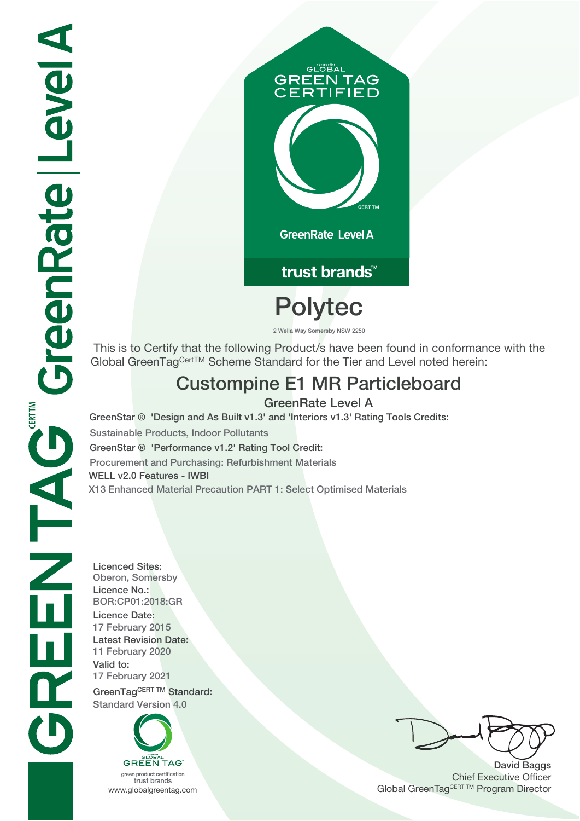# **GLOBAL GREEN TAG<br>CERTIFIED**

GreenRate | Level A

trust brands<sup>™</sup>

## **Polytec**

 **2 Wella Way Somersby NSW 2250**

 This is to Certify that the following Product/s have been found in conformance with the Global GreenTagCertTM Scheme Standard for the Tier and Level noted herein:

### **Custompine E1 MR Particleboard**

**GreenRate Level A**

**GreenStar ® 'Design and As Built v1.3' and 'Interiors v1.3' Rating Tools Credits: Sustainable Products, Indoor Pollutants GreenStar ® 'Performance v1.2' Rating Tool Credit: Procurement and Purchasing: Refurbishment Materials WELL v2.0 Features - IWBI**

**X13 Enhanced Material Precaution PART 1: Select Optimised Materials**

**Licenced Sites: Oberon, Somersby Licence No.: BOR:CP01:2018:GR Licence Date: 17 February 2015 Latest Revision Date: 11 February 2020 Valid to: 17 February 2021** GreenTagCERT TM Standard: **Standard Version 4.0**



trust brands

**David Baggs** Chief Executive Officer WWW.globalgreentag.com **Program Director** Channel Global GreenTagCERT TM Program Director